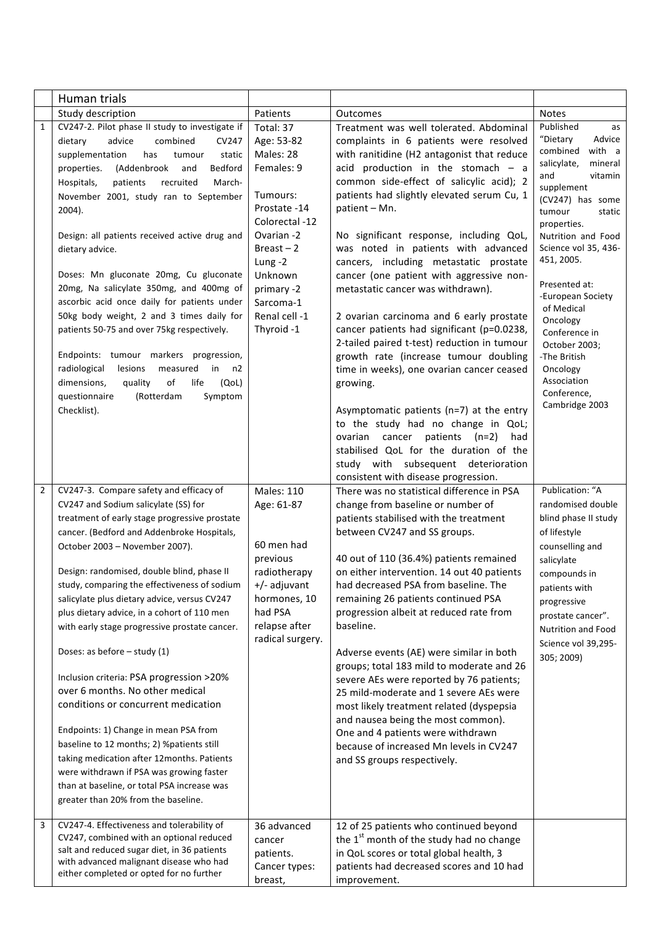|                | Human trials                                                                           |                         |                                                                                  |                                       |
|----------------|----------------------------------------------------------------------------------------|-------------------------|----------------------------------------------------------------------------------|---------------------------------------|
|                | Study description                                                                      | Patients                | <b>Outcomes</b>                                                                  | <b>Notes</b>                          |
| $\mathbf{1}$   | CV247-2. Pilot phase II study to investigate if                                        | Total: 37               | Treatment was well tolerated. Abdominal                                          | Published<br>as<br>"Dietary<br>Advice |
|                | dietary<br>advice<br>combined<br>CV247                                                 | Age: 53-82<br>Males: 28 | complaints in 6 patients were resolved                                           | combined<br>with a                    |
|                | supplementation<br>has<br>tumour<br>static<br>Bedford<br>(Addenbrook                   | Females: 9              | with ranitidine (H2 antagonist that reduce<br>acid production in the stomach - a | salicylate,<br>mineral                |
|                | properties.<br>and                                                                     |                         | common side-effect of salicylic acid); 2                                         | and<br>vitamin                        |
|                | Hospitals,<br>patients<br>recruited<br>March-<br>November 2001, study ran to September | Tumours:                | patients had slightly elevated serum Cu, 1                                       | supplement                            |
|                | 2004).                                                                                 | Prostate -14            | patient - Mn.                                                                    | (CV247) has some                      |
|                |                                                                                        | Colorectal -12          |                                                                                  | tumour<br>static<br>properties.       |
|                | Design: all patients received active drug and                                          | Ovarian -2              | No significant response, including QoL,                                          | Nutrition and Food                    |
|                | dietary advice.                                                                        | $Breat - 2$             | was noted in patients with advanced                                              | Science vol 35, 436-                  |
|                |                                                                                        | Lung-2                  | cancers, including metastatic prostate                                           | 451, 2005.                            |
|                | Doses: Mn gluconate 20mg, Cu gluconate                                                 | Unknown                 | cancer (one patient with aggressive non-                                         |                                       |
|                | 20mg, Na salicylate 350mg, and 400mg of                                                | primary -2              | metastatic cancer was withdrawn).                                                | Presented at:<br>-European Society    |
|                | ascorbic acid once daily for patients under                                            | Sarcoma-1               |                                                                                  | of Medical                            |
|                | 50kg body weight, 2 and 3 times daily for                                              | Renal cell -1           | 2 ovarian carcinoma and 6 early prostate                                         | Oncology                              |
|                | patients 50-75 and over 75kg respectively.                                             | Thyroid -1              | cancer patients had significant (p=0.0238,                                       | Conference in                         |
|                |                                                                                        |                         | 2-tailed paired t-test) reduction in tumour                                      | October 2003;                         |
|                | Endpoints: tumour markers progression,<br>radiological<br>lesions<br>measured<br>in    |                         | growth rate (increase tumour doubling                                            | -The British<br>Oncology              |
|                | n2<br>dimensions,<br>of<br>life<br>quality<br>(QoL)                                    |                         | time in weeks), one ovarian cancer ceased                                        | Association                           |
|                | questionnaire<br>(Rotterdam<br>Symptom                                                 |                         | growing.                                                                         | Conference,                           |
|                | Checklist).                                                                            |                         | Asymptomatic patients (n=7) at the entry                                         | Cambridge 2003                        |
|                |                                                                                        |                         | to the study had no change in QoL;                                               |                                       |
|                |                                                                                        |                         | ovarian cancer patients (n=2) had                                                |                                       |
|                |                                                                                        |                         | stabilised QoL for the duration of the                                           |                                       |
|                |                                                                                        |                         | study with subsequent deterioration                                              |                                       |
|                |                                                                                        |                         | consistent with disease progression.                                             |                                       |
| $\overline{2}$ | CV247-3. Compare safety and efficacy of                                                | <b>Males: 110</b>       | There was no statistical difference in PSA                                       | Publication: "A                       |
|                | CV247 and Sodium salicylate (SS) for                                                   | Age: 61-87              | change from baseline or number of                                                | randomised double                     |
|                | treatment of early stage progressive prostate                                          |                         | patients stabilised with the treatment                                           | blind phase II study                  |
|                | cancer. (Bedford and Addenbroke Hospitals,                                             | 60 men had              | between CV247 and SS groups.                                                     | of lifestyle                          |
|                | October 2003 - November 2007).                                                         | previous                | 40 out of 110 (36.4%) patients remained                                          | counselling and                       |
|                | Design: randomised, double blind, phase II                                             | radiotherapy            | on either intervention. 14 out 40 patients                                       | salicylate<br>compounds in            |
|                | study, comparing the effectiveness of sodium                                           | +/- adjuvant            | had decreased PSA from baseline. The                                             | patients with                         |
|                | salicylate plus dietary advice, versus CV247                                           | hormones, 10            | remaining 26 patients continued PSA                                              | progressive                           |
|                | plus dietary advice, in a cohort of 110 men                                            | had PSA                 | progression albeit at reduced rate from                                          | prostate cancer".                     |
|                | with early stage progressive prostate cancer.                                          | relapse after           | baseline.                                                                        | Nutrition and Food                    |
|                |                                                                                        | radical surgery.        |                                                                                  | Science vol 39,295-                   |
|                | Doses: as before $-$ study (1)                                                         |                         | Adverse events (AE) were similar in both                                         | 305; 2009)                            |
|                |                                                                                        |                         | groups; total 183 mild to moderate and 26                                        |                                       |
|                | Inclusion criteria: PSA progression >20%<br>over 6 months. No other medical            |                         | severe AEs were reported by 76 patients;                                         |                                       |
|                | conditions or concurrent medication                                                    |                         | 25 mild-moderate and 1 severe AEs were                                           |                                       |
|                |                                                                                        |                         | most likely treatment related (dyspepsia<br>and nausea being the most common).   |                                       |
|                | Endpoints: 1) Change in mean PSA from                                                  |                         | One and 4 patients were withdrawn                                                |                                       |
|                | baseline to 12 months; 2) %patients still                                              |                         | because of increased Mn levels in CV247                                          |                                       |
|                | taking medication after 12months. Patients                                             |                         | and SS groups respectively.                                                      |                                       |
|                | were withdrawn if PSA was growing faster                                               |                         |                                                                                  |                                       |
|                | than at baseline, or total PSA increase was                                            |                         |                                                                                  |                                       |
|                | greater than 20% from the baseline.                                                    |                         |                                                                                  |                                       |
| 3              | CV247-4. Effectiveness and tolerability of                                             | 36 advanced             | 12 of 25 patients who continued beyond                                           |                                       |
|                | CV247, combined with an optional reduced                                               | cancer                  | the 1 <sup>st</sup> month of the study had no change                             |                                       |
|                | salt and reduced sugar diet, in 36 patients<br>with advanced malignant disease who had | patients.               | in QoL scores or total global health, 3                                          |                                       |
|                | either completed or opted for no further                                               | Cancer types:           | patients had decreased scores and 10 had                                         |                                       |
|                |                                                                                        | breast,                 | improvement.                                                                     |                                       |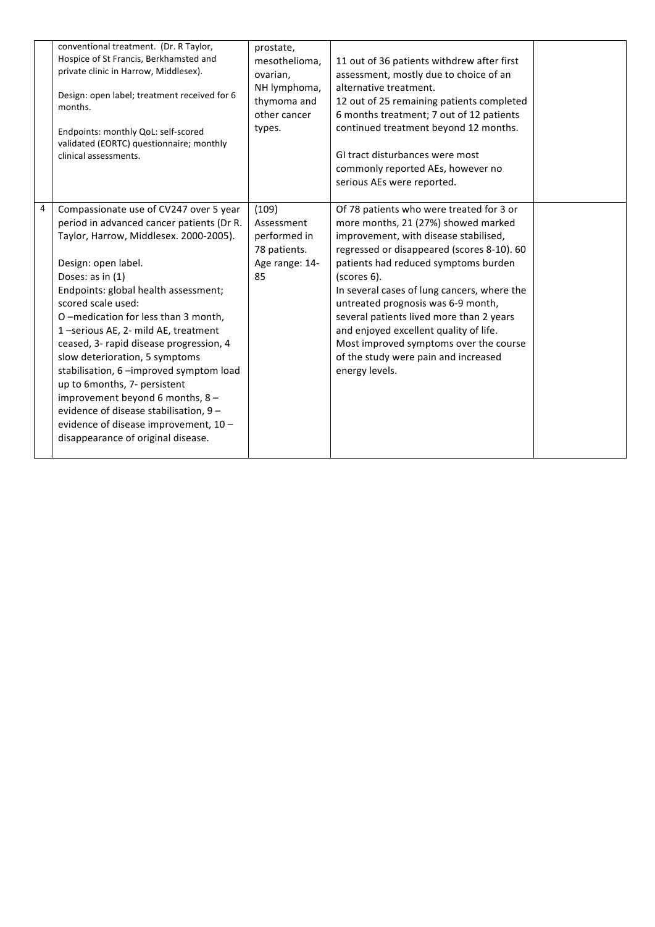|   | conventional treatment. (Dr. R Taylor,<br>Hospice of St Francis, Berkhamsted and<br>private clinic in Harrow, Middlesex).<br>Design: open label; treatment received for 6<br>months.<br>Endpoints: monthly QoL: self-scored<br>validated (EORTC) questionnaire; monthly<br>clinical assessments.                                                                                                                                                                                                                                                                                                                                           | prostate,<br>mesothelioma,<br>ovarian,<br>NH lymphoma,<br>thymoma and<br>other cancer<br>types. | 11 out of 36 patients withdrew after first<br>assessment, mostly due to choice of an<br>alternative treatment.<br>12 out of 25 remaining patients completed<br>6 months treatment; 7 out of 12 patients<br>continued treatment beyond 12 months.<br>GI tract disturbances were most<br>commonly reported AEs, however no<br>serious AEs were reported.                                                                                                                                                       |  |
|---|--------------------------------------------------------------------------------------------------------------------------------------------------------------------------------------------------------------------------------------------------------------------------------------------------------------------------------------------------------------------------------------------------------------------------------------------------------------------------------------------------------------------------------------------------------------------------------------------------------------------------------------------|-------------------------------------------------------------------------------------------------|--------------------------------------------------------------------------------------------------------------------------------------------------------------------------------------------------------------------------------------------------------------------------------------------------------------------------------------------------------------------------------------------------------------------------------------------------------------------------------------------------------------|--|
| 4 | Compassionate use of CV247 over 5 year<br>period in advanced cancer patients (Dr R.<br>Taylor, Harrow, Middlesex. 2000-2005).<br>Design: open label.<br>Doses: as in (1)<br>Endpoints: global health assessment;<br>scored scale used:<br>O-medication for less than 3 month,<br>1-serious AE, 2- mild AE, treatment<br>ceased, 3- rapid disease progression, 4<br>slow deterioration, 5 symptoms<br>stabilisation, 6 - improved symptom load<br>up to 6months, 7- persistent<br>improvement beyond 6 months, 8 -<br>evidence of disease stabilisation, 9 -<br>evidence of disease improvement, 10 -<br>disappearance of original disease. | (109)<br>Assessment<br>performed in<br>78 patients.<br>Age range: 14-<br>85                     | Of 78 patients who were treated for 3 or<br>more months, 21 (27%) showed marked<br>improvement, with disease stabilised,<br>regressed or disappeared (scores 8-10). 60<br>patients had reduced symptoms burden<br>(scores 6).<br>In several cases of lung cancers, where the<br>untreated prognosis was 6-9 month,<br>several patients lived more than 2 years<br>and enjoyed excellent quality of life.<br>Most improved symptoms over the course<br>of the study were pain and increased<br>energy levels. |  |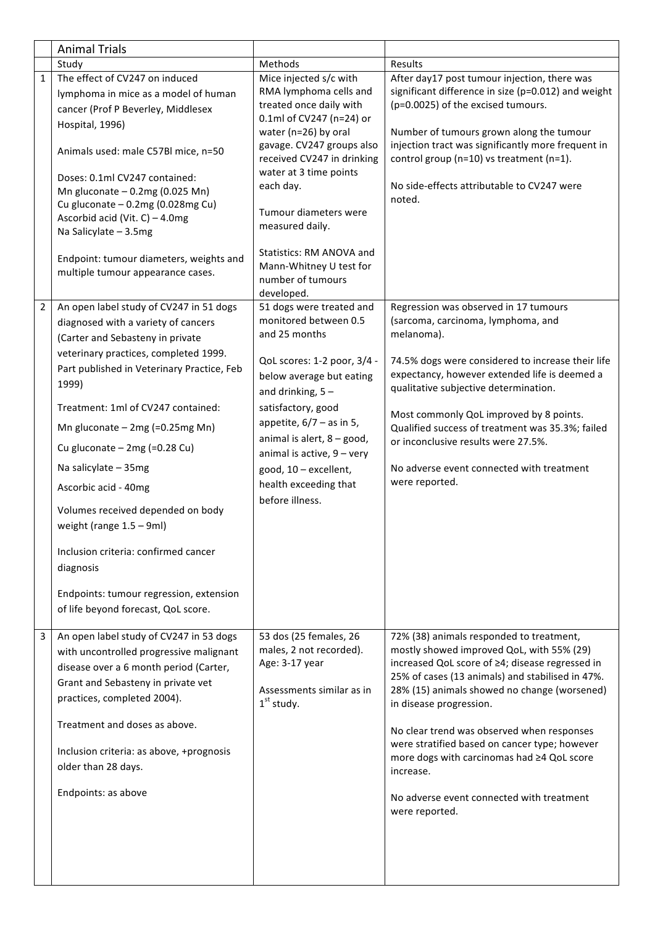|                | <b>Animal Trials</b>                                                                                                                                                                                                                                                                                                         |                                                                                                                                                                                                                                                         |                                                                                                                                                                                                                                                                                                                                                                                                                                                                                                  |
|----------------|------------------------------------------------------------------------------------------------------------------------------------------------------------------------------------------------------------------------------------------------------------------------------------------------------------------------------|---------------------------------------------------------------------------------------------------------------------------------------------------------------------------------------------------------------------------------------------------------|--------------------------------------------------------------------------------------------------------------------------------------------------------------------------------------------------------------------------------------------------------------------------------------------------------------------------------------------------------------------------------------------------------------------------------------------------------------------------------------------------|
|                | Study                                                                                                                                                                                                                                                                                                                        | Methods                                                                                                                                                                                                                                                 | Results                                                                                                                                                                                                                                                                                                                                                                                                                                                                                          |
| $\mathbf{1}$   | The effect of CV247 on induced<br>lymphoma in mice as a model of human<br>cancer (Prof P Beverley, Middlesex                                                                                                                                                                                                                 | Mice injected s/c with<br>RMA lymphoma cells and<br>treated once daily with<br>0.1ml of CV247 (n=24) or                                                                                                                                                 | After day17 post tumour injection, there was<br>significant difference in size (p=0.012) and weight<br>(p=0.0025) of the excised tumours.                                                                                                                                                                                                                                                                                                                                                        |
|                | Hospital, 1996)<br>Animals used: male C57Bl mice, n=50                                                                                                                                                                                                                                                                       | water (n=26) by oral<br>gavage. CV247 groups also<br>received CV247 in drinking                                                                                                                                                                         | Number of tumours grown along the tumour<br>injection tract was significantly more frequent in<br>control group (n=10) vs treatment (n=1).                                                                                                                                                                                                                                                                                                                                                       |
|                | Doses: 0.1ml CV247 contained:<br>Mn gluconate $-0.2$ mg (0.025 Mn)<br>Cu gluconate - 0.2mg (0.028mg Cu)<br>Ascorbid acid (Vit. C) - 4.0mg<br>Na Salicylate - 3.5mg<br>Endpoint: tumour diameters, weights and<br>multiple tumour appearance cases.                                                                           | water at 3 time points<br>each day.<br>Tumour diameters were<br>measured daily.<br>Statistics: RM ANOVA and<br>Mann-Whitney U test for<br>number of tumours                                                                                             | No side-effects attributable to CV247 were<br>noted.                                                                                                                                                                                                                                                                                                                                                                                                                                             |
| $\overline{2}$ | An open label study of CV247 in 51 dogs<br>diagnosed with a variety of cancers<br>(Carter and Sebasteny in private<br>veterinary practices, completed 1999.<br>Part published in Veterinary Practice, Feb<br>1999)<br>Treatment: 1ml of CV247 contained:<br>Mn gluconate $-2mg$ (=0.25mg Mn)                                 | developed.<br>51 dogs were treated and<br>monitored between 0.5<br>and 25 months<br>QoL scores: 1-2 poor, 3/4 -<br>below average but eating<br>and drinking, $5 -$<br>satisfactory, good<br>appetite, $6/7 - as$ in 5,<br>animal is alert, $8 - good$ , | Regression was observed in 17 tumours<br>(sarcoma, carcinoma, lymphoma, and<br>melanoma).<br>74.5% dogs were considered to increase their life<br>expectancy, however extended life is deemed a<br>qualitative subjective determination.<br>Most commonly QoL improved by 8 points.<br>Qualified success of treatment was 35.3%; failed<br>or inconclusive results were 27.5%.                                                                                                                   |
|                | Cu gluconate $-2mg$ (=0.28 Cu)<br>Na salicylate - 35mg<br>Ascorbic acid - 40mg<br>Volumes received depended on body<br>weight (range $1.5 - 9$ ml)<br>Inclusion criteria: confirmed cancer<br>diagnosis<br>Endpoints: tumour regression, extension<br>of life beyond forecast, QoL score.                                    | animal is active, $9 - very$<br>good, 10 - excellent,<br>health exceeding that<br>before illness.                                                                                                                                                       | No adverse event connected with treatment<br>were reported.                                                                                                                                                                                                                                                                                                                                                                                                                                      |
| 3              | An open label study of CV247 in 53 dogs<br>with uncontrolled progressive malignant<br>disease over a 6 month period (Carter,<br>Grant and Sebasteny in private vet<br>practices, completed 2004).<br>Treatment and doses as above.<br>Inclusion criteria: as above, +prognosis<br>older than 28 days.<br>Endpoints: as above | 53 dos (25 females, 26<br>males, 2 not recorded).<br>Age: 3-17 year<br>Assessments similar as in<br>$1st$ study.                                                                                                                                        | 72% (38) animals responded to treatment,<br>mostly showed improved QoL, with 55% (29)<br>increased QoL score of ≥4; disease regressed in<br>25% of cases (13 animals) and stabilised in 47%.<br>28% (15) animals showed no change (worsened)<br>in disease progression.<br>No clear trend was observed when responses<br>were stratified based on cancer type; however<br>more dogs with carcinomas had ≥4 QoL score<br>increase.<br>No adverse event connected with treatment<br>were reported. |